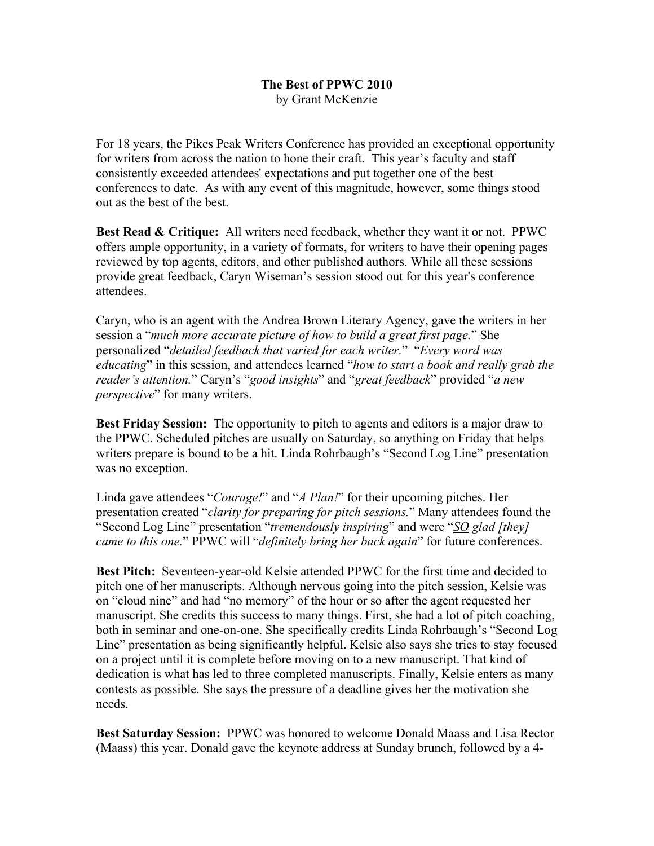## **The Best of PPWC 2010** by Grant McKenzie

For 18 years, the Pikes Peak Writers Conference has provided an exceptional opportunity for writers from across the nation to hone their craft. This year's faculty and staff consistently exceeded attendees' expectations and put together one of the best conferences to date. As with any event of this magnitude, however, some things stood out as the best of the best.

**Best Read & Critique:** All writers need feedback, whether they want it or not. PPWC offers ample opportunity, in a variety of formats, for writers to have their opening pages reviewed by top agents, editors, and other published authors. While all these sessions provide great feedback, Caryn Wiseman's session stood out for this year's conference attendees.

Caryn, who is an agent with the Andrea Brown Literary Agency, gave the writers in her session a "*much more accurate picture of how to build a great first page.*" She personalized "*detailed feedback that varied for each writer.*" "*Every word was educating*" in this session, and attendees learned "*how to start a book and really grab the reader's attention.*" Caryn's "*good insights*" and "*great feedback*" provided "*a new perspective*" for many writers.

**Best Friday Session:** The opportunity to pitch to agents and editors is a major draw to the PPWC. Scheduled pitches are usually on Saturday, so anything on Friday that helps writers prepare is bound to be a hit. Linda Rohrbaugh's "Second Log Line" presentation was no exception.

Linda gave attendees "*Courage!*" and "*A Plan!*" for their upcoming pitches. Her presentation created "*clarity for preparing for pitch sessions.*" Many attendees found the "Second Log Line" presentation "*tremendously inspiring*" and were "*SO glad [they] came to this one.*" PPWC will "*definitely bring her back again*" for future conferences.

**Best Pitch:** Seventeen-year-old Kelsie attended PPWC for the first time and decided to pitch one of her manuscripts. Although nervous going into the pitch session, Kelsie was on "cloud nine" and had "no memory" of the hour or so after the agent requested her manuscript. She credits this success to many things. First, she had a lot of pitch coaching, both in seminar and one-on-one. She specifically credits Linda Rohrbaugh's "Second Log Line" presentation as being significantly helpful. Kelsie also says she tries to stay focused on a project until it is complete before moving on to a new manuscript. That kind of dedication is what has led to three completed manuscripts. Finally, Kelsie enters as many contests as possible. She says the pressure of a deadline gives her the motivation she needs.

**Best Saturday Session:** PPWC was honored to welcome Donald Maass and Lisa Rector (Maass) this year. Donald gave the keynote address at Sunday brunch, followed by a 4